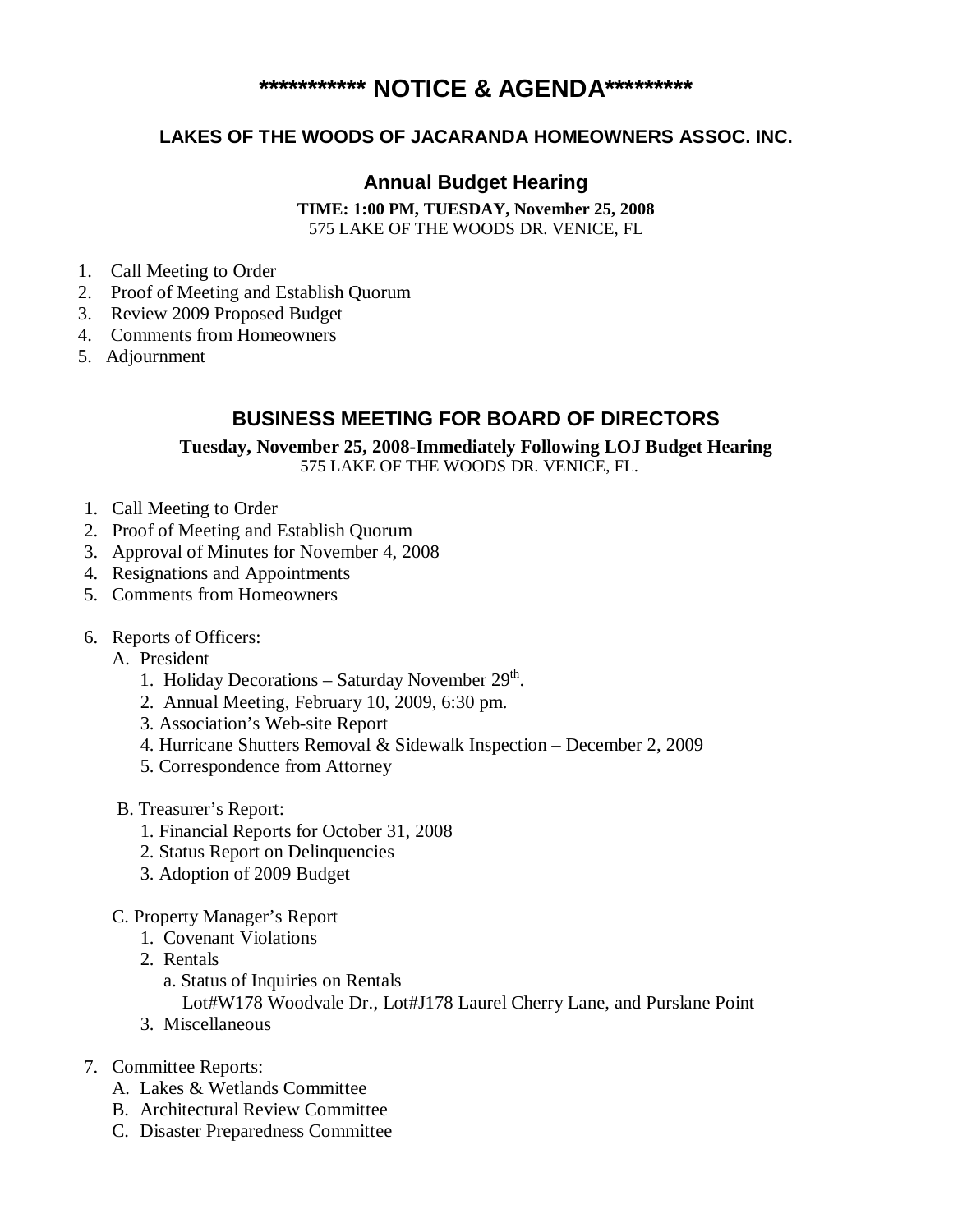# **\*\*\*\*\*\*\*\*\*\*\* NOTICE & AGENDA\*\*\*\*\*\*\*\*\***

### **LAKES OF THE WOODS OF JACARANDA HOMEOWNERS ASSOC. INC.**

## **Annual Budget Hearing**

**TIME: 1:00 PM, TUESDAY, November 25, 2008**  575 LAKE OF THE WOODS DR. VENICE, FL

- 1. Call Meeting to Order
- 2. Proof of Meeting and Establish Quorum
- 3. Review 2009 Proposed Budget
- 4. Comments from Homeowners
- 5. Adjournment

#### **BUSINESS MEETING FOR BOARD OF DIRECTORS**

**Tuesday, November 25, 2008-Immediately Following LOJ Budget Hearing**  575 LAKE OF THE WOODS DR. VENICE, FL.

- 1. Call Meeting to Order
- 2. Proof of Meeting and Establish Quorum
- 3. Approval of Minutes for November 4, 2008
- 4. Resignations and Appointments
- 5. Comments from Homeowners
- 6. Reports of Officers:
	- A. President
		- 1. Holiday Decorations Saturday November  $29<sup>th</sup>$ .
		- 2. Annual Meeting, February 10, 2009, 6:30 pm.
		- 3. Association's Web-site Report
		- 4. Hurricane Shutters Removal & Sidewalk Inspection December 2, 2009
		- 5. Correspondence from Attorney
	- B. Treasurer's Report:
		- 1. Financial Reports for October 31, 2008
		- 2. Status Report on Delinquencies
		- 3. Adoption of 2009 Budget
	- C. Property Manager's Report
		- 1. Covenant Violations
		- 2. Rentals
			- a. Status of Inquiries on Rentals

Lot#W178 Woodvale Dr., Lot#J178 Laurel Cherry Lane, and Purslane Point

- 3. Miscellaneous
- 7. Committee Reports:
	- A. Lakes & Wetlands Committee
	- B. Architectural Review Committee
	- C. Disaster Preparedness Committee